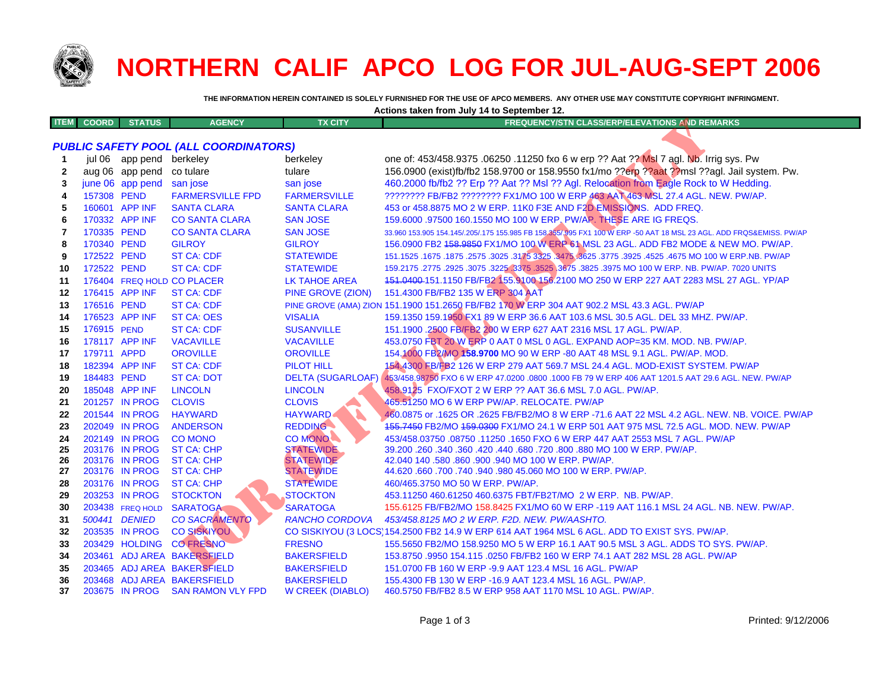

## **NORTHERN CALIF APCO LOG FOR JUL-AUG-SEPT 2006**

**Actions taken from July 14 to September 12.**

**THE INFORMATION HEREIN CONTAINED IS SOLELY FURNISHED FOR THE USE OF APCO MEMBERS. ANY OTHER USE MAY CONSTITUTE COPYRIGHT INFRINGMENT.**

| <b>ITEM</b>    | <b>COORD</b> | <b>STATUS</b>            | <b>AGENCY</b>                                | <b>TX CITY</b>           | <b>FREQUENCY/STN CLASS/ERP/ELEVATIONS AND REMARKS</b>                                                               |
|----------------|--------------|--------------------------|----------------------------------------------|--------------------------|---------------------------------------------------------------------------------------------------------------------|
|                |              |                          |                                              |                          |                                                                                                                     |
|                |              |                          | <b>PUBLIC SAFETY POOL (ALL COORDINATORS)</b> |                          |                                                                                                                     |
| 1              |              | jul 06 app pend berkeley |                                              | berkeley                 | one of: 453/458.9375 .06250 .11250 fxo 6 w erp ?? Aat ?? MsI 7 agl. Nb. Irrig sys. Pw                               |
| 2              |              | aug 06 app pend          | co tulare                                    | tulare                   | 156.0900 (exist)fb/fb2 158.9700 or 158.9550 fx1/mo ??erp ??aat ??msl ??agl. Jail system. Pw.                        |
| 3              |              | june 06 app pend         | san jose                                     | san jose                 | 460.2000 fb/fb2 ?? Erp ?? Aat ?? MsI ?? Agl. Relocation from Eagle Rock to W Hedding.                               |
| 4              | 157308 PEND  |                          | <b>FARMERSVILLE FPD</b>                      | <b>FARMERSVILLE</b>      | ???????? FB/FB2 ??????? FX1/MO 100 W ERP 463 AAT 463 MSL 27.4 AGL. NEW. PW/AP.                                      |
| 5              |              | 160601 APP INF           | <b>SANTA CLARA</b>                           | <b>SANTA CLARA</b>       | 453 or 458.8875 MO 2 W ERP. 11K0 F3E AND F2D EMISSIONS. ADD FREQ.                                                   |
| 6              |              | 170332 APP INF           | <b>CO SANTA CLARA</b>                        | <b>SAN JOSE</b>          | 159,6000 .97500 160.1550 MO 100 W ERP. PW/AP. THESE ARE IG FREQS.                                                   |
| $\overline{7}$ | 170335 PEND  |                          | <b>CO SANTA CLARA</b>                        | <b>SAN JOSE</b>          | 33.960 153.905 154.145/.205/.175 155.985 FB 158.355/.995 FX1 100 W ERP -50 AAT 18 MSL 23 AGL. ADD FRQS&EMISS. PW/AP |
| 8              | 170340 PEND  |                          | <b>GILROY</b>                                | <b>GILROY</b>            | 156.0900 FB2 158.9859 FX1/MO 100 W ERP 61 MSL 23 AGL. ADD FB2 MODE & NEW MO. PW/AP.                                 |
| 9              | 172522 PEND  |                          | <b>ST CA: CDF</b>                            | <b>STATEWIDE</b>         | 151.1525 .1675 .1875 .2575 .3025 .3175 3325 .3475 .3625 .3775 .3925 .4525 .4675 MO 100 W ERP.NB. PW/AP              |
| 10             | 172522 PEND  |                          | <b>ST CA: CDF</b>                            | <b>STATEWIDE</b>         | 159.2175.2775.2925.3075.3225.3375.3525.3675.3825.3975.MO 100 W ERP. NB. PW/AP. 7020 UNITS                           |
| 11             |              |                          | 176404 FREQ HOLD CO PLACER                   | <b>LK TAHOE AREA</b>     | 151.0400-151.1150 FB/FB2 155.9100 156.2100 MO 250 W ERP 227 AAT 2283 MSL 27 AGL. YP/AP                              |
| 12             |              | 176415 APP INF           | <b>ST CA: CDF</b>                            | <b>PINE GROVE (ZION)</b> | 151.4300 FB/FB2 135 W ERP 304 AAT                                                                                   |
| 13             | 176516 PEND  |                          | <b>ST CA: CDF</b>                            |                          | PINE GROVE (AMA) ZION 151.1900 151.2650 FB/FB2 170 W ERP 304 AAT 902.2 MSL 43.3 AGL. PW/AP                          |
| 14             |              | 176523 APP INF           | <b>ST CA: OES</b>                            | <b>VISALIA</b>           | 159.1350 159.1950 FX1 89 W ERP 36.6 AAT 103.6 MSL 30.5 AGL. DEL 33 MHZ. PW/AP.                                      |
| 15             | 176915 PEND  |                          | <b>ST CA: CDF</b>                            | <b>SUSANVILLE</b>        | 151.1900 .2500 FB/FB2 200 W ERP 627 AAT 2316 MSL 17 AGL. PW/AP.                                                     |
| 16             |              | 178117 APP INF           | <b>VACAVILLE</b>                             | <b>VACAVILLE</b>         | 453.0750 FBT 20 W ERP 0 AAT 0 MSL 0 AGL. EXPAND AOP=35 KM. MOD. NB. PW/AP.                                          |
| 17             | 179711 APPD  |                          | <b>OROVILLE</b>                              | <b>OROVILLE</b>          | 154.1000 FB2/MO 158.9700 MO 90 W ERP -80 AAT 48 MSL 9.1 AGL. PW/AP. MOD.                                            |
| 18             |              | 182394 APP INF           | <b>ST CA: CDF</b>                            | <b>PILOT HILL</b>        | 154.4300 FB/FB2 126 W ERP 279 AAT 569.7 MSL 24.4 AGL. MOD-EXIST SYSTEM. PW/AP                                       |
| 19             | 184483 PEND  |                          | <b>ST CA: DOT</b>                            |                          | DELTA (SUGARLOAF) 453/458.98750 FXO 6 W ERP 47.0200 .0800 .1000 FB 79 W ERP 406 AAT 1201.5 AAT 29.6 AGL. NEW. PW/AP |
| 20             |              | 185048 APP INF           | <b>LINCOLN</b>                               | <b>LINCOLN</b>           | 458.9125 FXO/FXOT 2 W ERP ?? AAT 36.6 MSL 7.0 AGL. PW/AP.                                                           |
| 21             |              | 201257 IN PROG           | <b>CLOVIS</b>                                | <b>CLOVIS</b>            | 465.51250 MO 6 W ERP PW/AP. RELOCATE. PW/AP                                                                         |
| 22             |              | 201544 IN PROG           | <b>HAYWARD</b>                               | <b>HAYWARD</b>           | 460.0875 or .1625 OR .2625 FB/FB2/MO 8 W ERP -71.6 AAT 22 MSL 4.2 AGL. NEW. NB. VOICE. PW/AP                        |
| 23             |              | 202049 IN PROG           | <b>ANDERSON</b>                              | <b>REDDING</b>           | 155,7450 FB2/MO 159,0300 FX1/MO 24.1 W ERP 501 AAT 975 MSL 72.5 AGL, MOD, NEW, PW/AP                                |
| 24             |              | 202149 IN PROG           | <b>CO MONO</b>                               | CO MONO                  | 453/458.03750 .08750 .11250 .1650 FXO 6 W ERP 447 AAT 2553 MSL 7 AGL. PW/AP                                         |
| 25             |              | 203176 IN PROG           | <b>ST CA: CHP</b>                            | <b>STATEWIDE</b>         | 39.200 .260 .340 .360 .420 .440 .680 .720 .800 .880 MO 100 W ERP. PW/AP.                                            |
| 26             |              | 203176 IN PROG           | <b>ST CA: CHP</b>                            | <b>STATEWIDE</b>         | 42.040 140 .580 .860 .900 .940 MO 100 W ERP. PW/AP.                                                                 |
| 27             |              | 203176 IN PROG           | <b>ST CA: CHP</b>                            | <b>STATEWIDE</b>         | 44.620 .660 .700 .740 .940 .980 45.060 MO 100 W ERP. PW/AP.                                                         |
| 28             |              | 203176 IN PROG           | <b>ST CA: CHP</b>                            | <b>STATEWIDE</b>         | 460/465.3750 MO 50 W ERP. PW/AP.                                                                                    |
| 29             |              | 203253 IN PROG           | <b>STOCKTON</b>                              | <b>STOCKTON</b>          | 453.11250 460.61250 460.6375 FBT/FB2T/MO 2 W ERP. NB. PW/AP.                                                        |
| 30             |              | 203438 FREQ HOLD         | <b>SARATOGA</b>                              | <b>SARATOGA</b>          | 155.6125 FB/FB2/MO 158.8425 FX1/MO 60 W ERP -119 AAT 116.1 MSL 24 AGL. NB. NEW. PW/AP.                              |
| 31             |              | 500441 DENIED            | <b>CO SACRAMENTO</b>                         | <b>RANCHO CORDOVA</b>    | 453/458.8125 MO 2 W ERP. F2D. NEW. PW/AASHTO.                                                                       |
| 32             |              | 203535 IN PROG           | <b>CO SISKIYOU</b>                           |                          | CO SISKIYOU (3 LOCS 154.2500 FB2 14.9 W ERP 614 AAT 1964 MSL 6 AGL. ADD TO EXIST SYS. PW/AP.                        |
| 33             |              | 203429 HOLDING           | <b>CO FRESNO</b>                             | <b>FRESNO</b>            | 155.5650 FB2/MO 158.9250 MO 5 W ERP 16.1 AAT 90.5 MSL 3 AGL. ADDS TO SYS. PW/AP.                                    |
| 34             |              |                          | 203461 ADJ AREA BAKERSFIELD                  | <b>BAKERSFIELD</b>       | 153,8750 ,9950 154,115 ,0250 FB/FB2 160 W ERP 74,1 AAT 282 MSL 28 AGL, PW/AP                                        |
| 35             |              |                          | 203465 ADJ AREA BAKERSFIELD                  | <b>BAKERSFIELD</b>       | 151.0700 FB 160 W ERP -9.9 AAT 123.4 MSL 16 AGL. PW/AP                                                              |
| 36             |              |                          | 203468 ADJ AREA BAKERSFIELD                  | <b>BAKERSFIELD</b>       | 155,4300 FB 130 W ERP -16.9 AAT 123.4 MSL 16 AGL, PW/AP.                                                            |
| 37             |              | 203675 IN PROG           | <b>SAN RAMON VLY FPD</b>                     | <b>W CREEK (DIABLO)</b>  | 460.5750 FB/FB2 8.5 W ERP 958 AAT 1170 MSL 10 AGL. PW/AP.                                                           |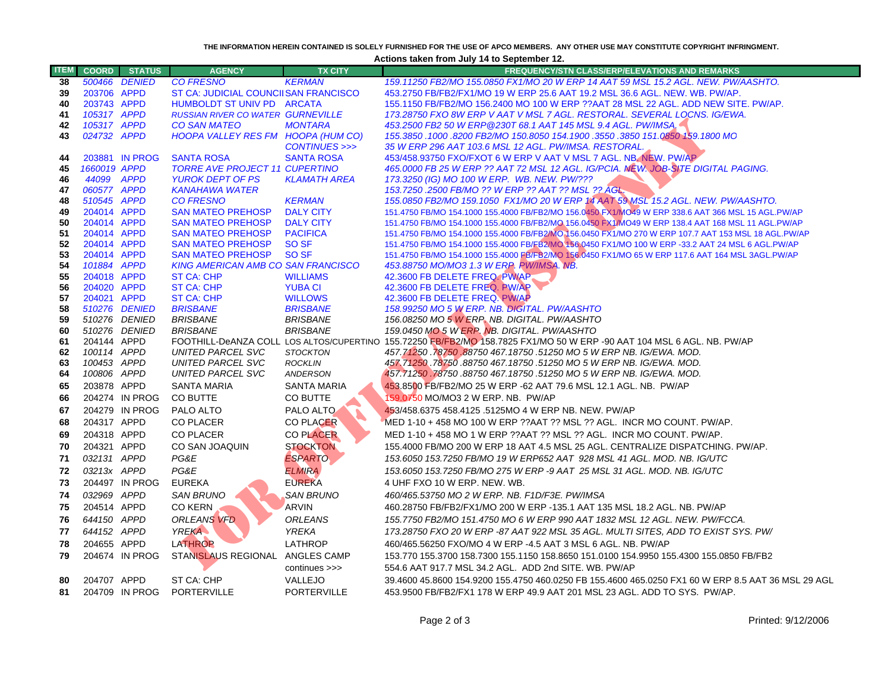## **THE INFORMATION HEREIN CONTAINED IS SOLELY FURNISHED FOR THE USE OF APCO MEMBERS. ANY OTHER USE MAY CONSTITUTE COPYRIGHT INFRINGMENT.**

**Actions taken from July 14 to September 12.**

| <b>ITEM</b> |                            | <b>COORD</b> STATUS | <b>AGENCY</b>                                                    | <b>TX CITY</b>      | FREQUENCY/STN CLASS/ERP/ELEVATIONS AND REMARKS                                                                         |
|-------------|----------------------------|---------------------|------------------------------------------------------------------|---------------------|------------------------------------------------------------------------------------------------------------------------|
| 38          |                            | 500466 DENIED       | <b>CO FRESNO</b>                                                 | <b>KERMAN</b>       | 159.11250 FB2/MO 155.0850 FX1/MO 20 W ERP 14 AAT 59 MSL 15.2 AGL. NEW. PW/AASHTO.                                      |
| 39          | 203706 APPD                |                     | ST CA: JUDICIAL COUNCIISAN FRANCISCO                             |                     | 453.2750 FB/FB2/FX1/MO 19 W ERP 25.6 AAT 19.2 MSL 36.6 AGL. NEW. WB. PW/AP.                                            |
| 40          | 203743 APPD                |                     | HUMBOLDT ST UNIV PD ARCATA                                       |                     | 155.1150 FB/FB2/MO 156.2400 MO 100 W ERP ??AAT 28 MSL 22 AGL. ADD NEW SITE. PW/AP.                                     |
| 41          | 105317 APPD                |                     | <b>RUSSIAN RIVER CO WATER GURNEVILLE</b>                         |                     | 173.28750 FXO 8W ERP V AAT V MSL 7 AGL. RESTORAL. SEVERAL LOCNS. IG/EWA.                                               |
| 42          | 105317 APPD                |                     | <b>CO SAN MATEO</b>                                              | <b>MONTARA</b>      | 453.2500 FB2 50 W ERP @230T 68.1 AAT 145 MSL 9.4 AGL. PW/IMSA.                                                         |
| 43          | 024732 APPD                |                     | HOOPA VALLEY RES FM HOOPA (HUM CO)                               |                     | 155.3850 .1000 .8200 FB2/MO 150.8050 154.1900 .3550 .3850 151.0850 159.1800 MO                                         |
|             |                            |                     |                                                                  | CONTINUES >>>       | 35 W ERP 296 AAT 103.6 MSL 12 AGL. PW/IMSA. RESTORAL.                                                                  |
| 44          |                            | 203881 IN PROG      | <b>SANTA ROSA</b>                                                | <b>SANTA ROSA</b>   | 453/458.93750 FXO/FXOT 6 W ERP V AAT V MSL 7 AGL. NB. NEW. PW/AP                                                       |
| 45          | 1660019 APPD<br>44099 APPD |                     | <b>TORRE AVE PROJECT 11 CUPERTINO</b><br><b>YUROK DEPT OF PS</b> | <b>KLAMATH AREA</b> | 465.0000 FB 25 W ERP ?? AAT 72 MSL 12 AGL. IG/PCIA. NEW. JOB-SITE DIGITAL PAGING.                                      |
| 46<br>47    | 060577 APPD                |                     | <b>KANAHAWA WATER</b>                                            |                     | 173.3250 (IG) MO 100 W ERP. WB. NEW. PW/???<br>153.7250 .2500 FB/MO ?? W ERP ?? AAT ?? MSL ?? AGL.                     |
| 48          | 510545 APPD                |                     | <b>CO FRESNO</b>                                                 | <b>KERMAN</b>       | 155.0850 FB2/MO 159.1050 FX1/MO 20 W ERP 14 AAT 59 MSL 15.2 AGL. NEW. PW/AASHTO.                                       |
| 49          | 204014 APPD                |                     | <b>SAN MATEO PREHOSP</b>                                         | <b>DALY CITY</b>    | 151.4750 FB/MO 154.1000 155.4000 FB/FB2/MO 156.0450 FX1/MO49 W ERP 338.6 AAT 366 MSL 15 AGL.PW/AP                      |
| 50          | 204014 APPD                |                     | <b>SAN MATEO PREHOSP</b>                                         | <b>DALY CITY</b>    | 151.4750 FB/MO 154.1000 155.4000 FB/FB2/MO 156.0450 FX1/MO49 W ERP 138.4 AAT 168 MSL 11 AGL.PW/AP                      |
| 51          | 204014 APPD                |                     | <b>SAN MATEO PREHOSP</b>                                         | <b>PACIFICA</b>     | 151.4750 FB/MO 154.1000 155.4000 FB/FB2/MO 156.0450 FX1/MO 270 W ERP 107.7 AAT 153 MSL 18 AGL.PW/AP                    |
| 52          | 204014 APPD                |                     | <b>SAN MATEO PREHOSP</b>                                         | SO <sub>SF</sub>    | 151.4750 FB/MO 154.1000 155.4000 FB/FB2/MO 156.0450 FX1/MO 100 W ERP -33.2 AAT 24 MSL 6 AGL.PW/AP                      |
| 53          | 204014 APPD                |                     | <b>SAN MATEO PREHOSP</b>                                         | SO SF               | 151.4750 FB/MO 154.1000 155.4000 FB/FB2/MO 156.0450 FX1/MO 65 W ERP 117.6 AAT 164 MSL 3AGL.PW/AP                       |
| 54          | 101884 APPD                |                     | <b>KING AMERICAN AMB CO SAN FRANCISCO</b>                        |                     | 453.88750 MO/MO3 1.3 W ERP. PW/IMSA. NB.                                                                               |
| 55          | 204018 APPD                |                     | ST CA: CHP                                                       | <b>WILLIAMS</b>     | 42.3600 FB DELETE FREQ. PW/AP                                                                                          |
| 56          | 204020 APPD                |                     | <b>ST CA: CHP</b>                                                | <b>YUBA CI</b>      | 42.3600 FB DELETE FREQ. PW/AP                                                                                          |
| 57          | 204021 APPD                |                     | <b>ST CA: CHP</b>                                                | <b>WILLOWS</b>      | 42.3600 FB DELETE FREQ. PW/AP                                                                                          |
| 58          |                            | 510276 DENIED       | <b>BRISBANE</b>                                                  | <b>BRISBANE</b>     | 158.99250 MO 5 W ERP. NB. DIGITAL. PW/AASHTO                                                                           |
| 59          |                            | 510276 DENIED       | <b>BRISBANE</b>                                                  | <b>BRISBANE</b>     | 156.08250 MO 5 W ERP. NB. DIGITAL. PW/AASHTO                                                                           |
| 60          |                            | 510276 DENIED       | <b>BRISBANE</b>                                                  | <b>BRISBANE</b>     | 159.0450 MO 5 W ERP. NB. DIGITAL. PW/AASHTO                                                                            |
| 61          | 204144 APPD                |                     |                                                                  |                     | FOOTHILL-DeANZA COLL LOS ALTOS/CUPERTINO 155.72250 FB/FB2/MO 158.7825 FX1/MO 50 W ERP -90 AAT 104 MSL 6 AGL. NB. PW/AP |
| 62          | 100114 APPD                |                     | UNITED PARCEL SVC                                                | <b>STOCKTON</b>     | 457.71250 . <b>78750 .8</b> 8750 467.18750 .51250 MO 5 W ERP NB. IG/EWA. MOD.                                          |
| 63          | 100453 APPD                |                     | UNITED PARCEL SVC                                                | <b>ROCKLIN</b>      | 457.71250 .78750 .88750 467.18750 .51250 MO 5 W ERP NB. IG/EWA. MOD.                                                   |
| 64          | 100806 APPD                |                     | <b>UNITED PARCEL SVC</b>                                         | <b>ANDERSON</b>     | 457.71250.78750.88750 467.18750.51250 MO 5 W ERP NB. IG/EWA. MOD.                                                      |
| 65          | 203878 APPD                |                     | <b>SANTA MARIA</b>                                               | <b>SANTA MARIA</b>  | 453.8500 FB/FB2/MO 25 W ERP -62 AAT 79.6 MSL 12.1 AGL. NB. PW/AP                                                       |
| 66          |                            | 204274 IN PROG      | CO BUTTE                                                         | CO BUTTE            | 159.0750 MO/MO3 2 W ERP. NB. PW/AP                                                                                     |
| 67          |                            | 204279 IN PROG      | PALO ALTO                                                        | PALO ALTO           | 453/458.6375 458.4125 .5125MO 4 W ERP NB, NEW, PW/AP                                                                   |
| 68          | 204317 APPD                |                     | <b>CO PLACER</b>                                                 | <b>CO PLACER</b>    | MED 1-10 + 458 MO 100 W ERP ??AAT ?? MSL ?? AGL. INCR MO COUNT. PW/AP.                                                 |
| 69          | 204318 APPD                |                     | <b>CO PLACER</b>                                                 | <b>CO PLACER</b>    | MED 1-10 + 458 MO 1 W ERP ??AAT ?? MSL ?? AGL. INCR MO COUNT. PW/AP.                                                   |
| 70          | 204321 APPD                |                     | CO SAN JOAQUIN                                                   | <b>STOCKTON</b>     | 155.4000 FB/MO 200 W ERP 18 AAT 4.5 MSL 25 AGL. CENTRALIZE DISPATCHING. PW/AP.                                         |
| 71          | 032131 APPD                |                     | PG&E                                                             | <b>ESPARTO</b>      | 153.6050 153.7250 FB/MO 19 W ERP652 AAT 928 MSL 41 AGL. MOD. NB. IG/UTC                                                |
| 72          | 03213x APPD                |                     | PG&E                                                             | <b>ELMIRA</b>       | 153.6050 153.7250 FB/MO 275 W ERP -9 AAT 25 MSL 31 AGL. MOD. NB. IG/UTC                                                |
| 73          |                            | 204497 IN PROG      | <b>EUREKA</b>                                                    | <b>EUREKA</b>       | 4 UHF FXO 10 W ERP. NEW. WB.                                                                                           |
| 74          | 032969 APPD                |                     | <b>SAN BRUNO</b>                                                 | <b>SAN BRUNO</b>    | 460/465.53750 MO 2 W ERP. NB. F1D/F3E. PW/IMSA                                                                         |
| 75          | 204514 APPD                |                     | <b>CO KERN</b>                                                   | <b>ARVIN</b>        | 460.28750 FB/FB2/FX1/MO 200 W ERP -135.1 AAT 135 MSL 18.2 AGL. NB. PW/AP                                               |
| 76          | 644150 APPD                |                     | <b>ORLEANS VFD</b>                                               | <b>ORLEANS</b>      | 155.7750 FB2/MO 151.4750 MO 6 W ERP 990 AAT 1832 MSL 12 AGL. NEW. PW/FCCA.                                             |
| 77          | 644152 APPD                |                     | <b>YREKA</b>                                                     | <b>YREKA</b>        | 173.28750 FXO 20 W ERP -87 AAT 922 MSL 35 AGL. MULTI SITES, ADD TO EXIST SYS. PW/                                      |
| 78          | 204655 APPD                |                     | <b>LATHROP</b>                                                   | <b>LATHROP</b>      | 460/465.56250 FXO/MO 4 W ERP -4.5 AAT 3 MSL 6 AGL. NB. PW/AP                                                           |
| 79          |                            | 204674 IN PROG      | STANISLAUS REGIONAL                                              | ANGLES CAMP         | 153.770 155.3700 158.7300 155.1150 158.8650 151.0100 154.9950 155.4300 155.0850 FB/FB2                                 |
|             |                            |                     |                                                                  | continues >>>       | 554.6 AAT 917.7 MSL 34.2 AGL. ADD 2nd SITE. WB. PW/AP                                                                  |
| 80          | 204707 APPD                |                     | ST CA: CHP                                                       | VALLEJO             | 39.4600 45.8600 154.9200 155.4750 460.0250 FB 155.4600 465.0250 FX1 60 W ERP 8.5 AAT 36 MSL 29 AGL                     |
| 81          |                            | 204709 IN PROG      | PORTERVILLE                                                      | <b>PORTERVILLE</b>  | 453.9500 FB/FB2/FX1 178 W ERP 49.9 AAT 201 MSL 23 AGL. ADD TO SYS. PW/AP.                                              |